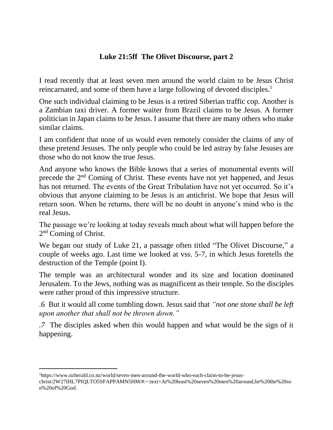## **Luke 21:5ff The Olivet Discourse, part 2**

I read recently that at least seven men around the world claim to be Jesus Christ reincarnated, and some of them have a large following of devoted disciples.<sup>1</sup>

One such individual claiming to be Jesus is a retired Siberian traffic cop. Another is a Zambian taxi driver. A former waiter from Brazil claims to be Jesus. A former politician in Japan claims to be Jesus. I assume that there are many others who make similar claims.

I am confident that none of us would even remotely consider the claims of any of these pretend Jesuses. The only people who could be led astray by false Jesuses are those who do not know the true Jesus.

And anyone who knows the Bible knows that a series of monumental events will precede the 2nd Coming of Christ. These events have not yet happened, and Jesus has not returned. The events of the Great Tribulation have not yet occurred. So it's obvious that anyone claiming to be Jesus is an antichrist. We hope that Jesus will return soon. When he returns, there will be no doubt in anyone's mind who is the real Jesus.

The passage we're looking at today reveals much about what will happen before the 2<sup>nd</sup> Coming of Christ.

We began our study of Luke 21, a passage often titled "The Olivet Discourse," a couple of weeks ago. Last time we looked at vss. 5-7, in which Jesus foretells the destruction of the Temple (point I).

The temple was an architectural wonder and its size and location dominated Jerusalem. To the Jews, nothing was as magnificent as their temple. So the disciples were rather proud of this impressive structure.

.6 But it would all come tumbling down. Jesus said that *"not one stone shall be left upon another that shall not be thrown down."*

*.7* The disciples asked when this would happen and what would be the sign of it happening.

 $\overline{a}$ 

<sup>1</sup>https://www.nzherald.co.nz/world/seven-men-around-the-world-who-each-claim-to-be-jesuschrist/2W27IHL7PIQLTO5SFAPPAMN5HM/#:~:text=At%20least%20seven%20men%20around,be%20the%20so n%20of%20God.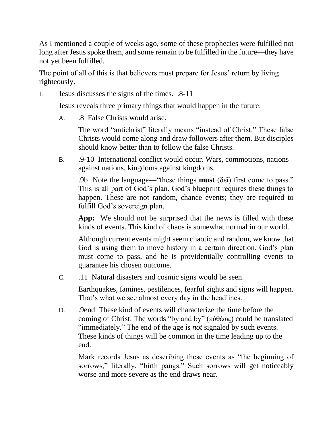As I mentioned a couple of weeks ago, some of these prophecies were fulfilled not long after Jesus spoke them, and some remain to be fulfilled in the future—they have not yet been fulfilled.

The point of all of this is that believers must prepare for Jesus' return by living righteously.

I. Jesus discusses the signs of the times. .8-11

Jesus reveals three primary things that would happen in the future:

A. .8 False Christs would arise.

The word "antichrist" literally means "instead of Christ." These false Christs would come along and draw followers after them. But disciples should know better than to follow the false Christs.

B. .9-10 International conflict would occur. Wars, commotions, nations against nations, kingdoms against kingdoms.

.9b Note the language—"these things **must** (δεῖ) first come to pass." This is all part of God's plan. God's blueprint requires these things to happen. These are not random, chance events; they are required to fulfill God's sovereign plan.

**App:** We should not be surprised that the news is filled with these kinds of events. This kind of chaos is somewhat normal in our world.

Although current events might seem chaotic and random, we know that God is using them to move history in a certain direction. God's plan must come to pass, and he is providentially controlling events to guarantee his chosen outcome.

C. .11 Natural disasters and cosmic signs would be seen.

Earthquakes, famines, pestilences, fearful sights and signs will happen. That's what we see almost every day in the headlines.

D. .9end These kind of events will characterize the time before the coming of Christ. The words "by and by" (εὐθέως) could be translated "immediately." The end of the age is *not* signaled by such events. These kinds of things will be common in the time leading up to the end.

Mark records Jesus as describing these events as "the beginning of sorrows," literally, "birth pangs." Such sorrows will get noticeably worse and more severe as the end draws near.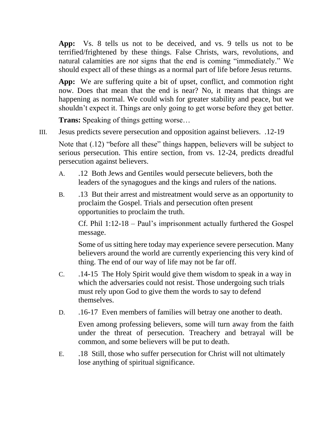**App:** Vs. 8 tells us not to be deceived, and vs. 9 tells us not to be terrified/frightened by these things. False Christs, wars, revolutions, and natural calamities are *not* signs that the end is coming "immediately." We should expect all of these things as a normal part of life before Jesus returns.

**App:** We are suffering quite a bit of upset, conflict, and commotion right now. Does that mean that the end is near? No, it means that things are happening as normal. We could wish for greater stability and peace, but we shouldn't expect it. Things are only going to get worse before they get better.

**Trans:** Speaking of things getting worse…

III. Jesus predicts severe persecution and opposition against believers. .12-19

Note that (.12) "before all these" things happen, believers will be subject to serious persecution. This entire section, from vs. 12-24, predicts dreadful persecution against believers.

- A. .12 Both Jews and Gentiles would persecute believers, both the leaders of the synagogues and the kings and rulers of the nations.
- B. .13 But their arrest and mistreatment would serve as an opportunity to proclaim the Gospel. Trials and persecution often present opportunities to proclaim the truth.

Cf. Phil 1:12-18 – Paul's imprisonment actually furthered the Gospel message.

Some of us sitting here today may experience severe persecution. Many believers around the world are currently experiencing this very kind of thing. The end of our way of life may not be far off.

- C. .14-15 The Holy Spirit would give them wisdom to speak in a way in which the adversaries could not resist. Those undergoing such trials must rely upon God to give them the words to say to defend themselves.
- D. .16-17 Even members of families will betray one another to death.

Even among professing believers, some will turn away from the faith under the threat of persecution. Treachery and betrayal will be common, and some believers will be put to death.

E. .18 Still, those who suffer persecution for Christ will not ultimately lose anything of spiritual significance.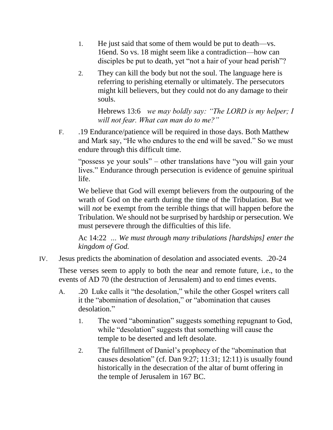- 1. He just said that some of them would be put to death—vs. 16end. So vs. 18 might seem like a contradiction—how can disciples be put to death, yet "not a hair of your head perish"?
- 2. They can kill the body but not the soul. The language here is referring to perishing eternally or ultimately. The persecutors might kill believers, but they could not do any damage to their souls.

Hebrews 13:6 *we may boldly say: "The LORD is my helper; I will not fear. What can man do to me?"*

F. .19 Endurance/patience will be required in those days. Both Matthew and Mark say, "He who endures to the end will be saved." So we must endure through this difficult time.

"possess ye your souls" – other translations have "you will gain your lives." Endurance through persecution is evidence of genuine spiritual life.

We believe that God will exempt believers from the outpouring of the wrath of God on the earth during the time of the Tribulation. But we will *not* be exempt from the terrible things that will happen before the Tribulation. We should not be surprised by hardship or persecution. We must persevere through the difficulties of this life.

Ac 14:22 *… We must through many tribulations [hardships] enter the kingdom of God.*

IV. Jesus predicts the abomination of desolation and associated events. .20-24

These verses seem to apply to both the near and remote future, i.e., to the events of AD 70 (the destruction of Jerusalem) and to end times events.

- A. .20 Luke calls it "the desolation," while the other Gospel writers call it the "abomination of desolation," or "abomination that causes desolation."
	- 1. The word "abomination" suggests something repugnant to God, while "desolation" suggests that something will cause the temple to be deserted and left desolate.
	- 2. The fulfillment of Daniel's prophecy of the "abomination that causes desolation" (cf. Dan 9:27; 11:31; 12:11) is usually found historically in the desecration of the altar of burnt offering in the temple of Jerusalem in 167 BC.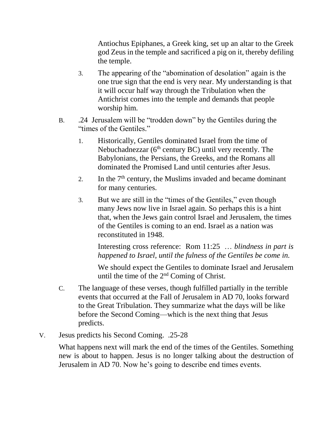Antiochus Epiphanes, a Greek king, set up an altar to the Greek god Zeus in the temple and sacrificed a pig on it, thereby defiling the temple.

- 3. The appearing of the "abomination of desolation" again is the one true sign that the end is very near. My understanding is that it will occur half way through the Tribulation when the Antichrist comes into the temple and demands that people worship him.
- B. .24 Jerusalem will be "trodden down" by the Gentiles during the "times of the Gentiles."
	- 1. Historically, Gentiles dominated Israel from the time of Nebuchadnezzar ( $6<sup>th</sup>$  century BC) until very recently. The Babylonians, the Persians, the Greeks, and the Romans all dominated the Promised Land until centuries after Jesus.
	- 2. In the  $7<sup>th</sup>$  century, the Muslims invaded and became dominant for many centuries.
	- 3. But we are still in the "times of the Gentiles," even though many Jews now live in Israel again. So perhaps this is a hint that, when the Jews gain control Israel and Jerusalem, the times of the Gentiles is coming to an end. Israel as a nation was reconstituted in 1948.

Interesting cross reference: Rom 11:25 … *blindness in part is happened to Israel, until the fulness of the Gentiles be come in.*

We should expect the Gentiles to dominate Israel and Jerusalem until the time of the  $2<sup>nd</sup>$  Coming of Christ.

- C. The language of these verses, though fulfilled partially in the terrible events that occurred at the Fall of Jerusalem in AD 70, looks forward to the Great Tribulation. They summarize what the days will be like before the Second Coming—which is the next thing that Jesus predicts.
- V. Jesus predicts his Second Coming. .25-28

What happens next will mark the end of the times of the Gentiles. Something new is about to happen. Jesus is no longer talking about the destruction of Jerusalem in AD 70. Now he's going to describe end times events.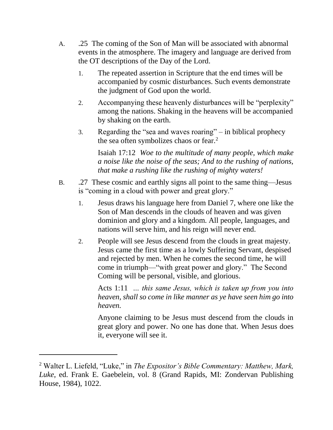- A. .25 The coming of the Son of Man will be associated with abnormal events in the atmosphere. The imagery and language are derived from the OT descriptions of the Day of the Lord.
	- 1. The repeated assertion in Scripture that the end times will be accompanied by cosmic disturbances. Such events demonstrate the judgment of God upon the world.
	- 2. Accompanying these heavenly disturbances will be "perplexity" among the nations. Shaking in the heavens will be accompanied by shaking on the earth.
	- 3. Regarding the "sea and waves roaring" in biblical prophecy the sea often symbolizes chaos or fear.<sup>2</sup>

Isaiah 17:12 *Woe to the multitude of many people, which make a noise like the noise of the seas; And to the rushing of nations, that make a rushing like the rushing of mighty waters!*

- B. .27 These cosmic and earthly signs all point to the same thing—Jesus is "coming in a cloud with power and great glory."
	- 1. Jesus draws his language here from Daniel 7, where one like the Son of Man descends in the clouds of heaven and was given dominion and glory and a kingdom. All people, languages, and nations will serve him, and his reign will never end.
	- 2. People will see Jesus descend from the clouds in great majesty. Jesus came the first time as a lowly Suffering Servant, despised and rejected by men. When he comes the second time, he will come in triumph—"with great power and glory." The Second Coming will be personal, visible, and glorious.

Acts 1:11 *… this same Jesus, which is taken up from you into heaven, shall so come in like manner as ye have seen him go into heaven.*

Anyone claiming to be Jesus must descend from the clouds in great glory and power. No one has done that. When Jesus does it, everyone will see it.

 $\overline{a}$ 

<sup>2</sup> Walter L. Liefeld, "Luke," in *The Expositor's Bible Commentary: Matthew, Mark, Luke*, ed. Frank E. Gaebelein, vol. 8 (Grand Rapids, MI: Zondervan Publishing House, 1984), 1022.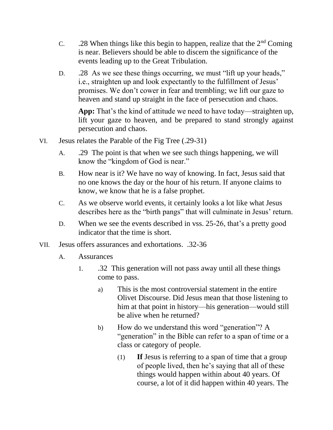- C. 28 When things like this begin to happen, realize that the  $2<sup>nd</sup>$  Coming is near. Believers should be able to discern the significance of the events leading up to the Great Tribulation.
- D. 28 As we see these things occurring, we must "lift up your heads," i.e., straighten up and look expectantly to the fulfillment of Jesus' promises. We don't cower in fear and trembling; we lift our gaze to heaven and stand up straight in the face of persecution and chaos.

**App:** That's the kind of attitude we need to have today—straighten up, lift your gaze to heaven, and be prepared to stand strongly against persecution and chaos.

- VI. Jesus relates the Parable of the Fig Tree (.29-31)
	- A. .29 The point is that when we see such things happening, we will know the "kingdom of God is near."
	- B. How near is it? We have no way of knowing. In fact, Jesus said that no one knows the day or the hour of his return. If anyone claims to know, we know that he is a false prophet.
	- C. As we observe world events, it certainly looks a lot like what Jesus describes here as the "birth pangs" that will culminate in Jesus' return.
	- D. When we see the events described in vss. 25-26, that's a pretty good indicator that the time is short.
- VII. Jesus offers assurances and exhortations. .32-36
	- A. Assurances
		- 1. .32 This generation will not pass away until all these things come to pass.
			- a) This is the most controversial statement in the entire Olivet Discourse. Did Jesus mean that those listening to him at that point in history—his generation—would still be alive when he returned?
			- b) How do we understand this word "generation"? A "generation" in the Bible can refer to a span of time or a class or category of people.
				- (1) **If** Jesus is referring to a span of time that a group of people lived, then he's saying that all of these things would happen within about 40 years. Of course, a lot of it did happen within 40 years. The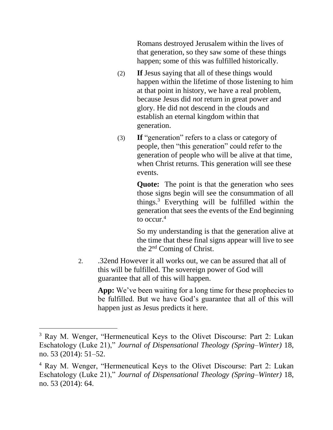Romans destroyed Jerusalem within the lives of that generation, so they saw some of these things happen; some of this was fulfilled historically.

- (2) **If** Jesus saying that all of these things would happen within the lifetime of those listening to him at that point in history, we have a real problem, because Jesus did *not* return in great power and glory. He did not descend in the clouds and establish an eternal kingdom within that generation.
- (3) **If** "generation" refers to a class or category of people, then "this generation" could refer to the generation of people who will be alive at that time, when Christ returns. This generation will see these events.

**Quote:** The point is that the generation who sees those signs begin will see the consummation of all things.<sup>3</sup> Everything will be fulfilled within the generation that sees the events of the End beginning to occur  $4$ 

So my understanding is that the generation alive at the time that these final signs appear will live to see the 2nd Coming of Christ.

2. .32end However it all works out, we can be assured that all of this will be fulfilled. The sovereign power of God will guarantee that all of this will happen.

App: We've been waiting for a long time for these prophecies to be fulfilled. But we have God's guarantee that all of this will happen just as Jesus predicts it here.

l

<sup>3</sup> Ray M. Wenger, "Hermeneutical Keys to the Olivet Discourse: Part 2: Lukan Eschatology (Luke 21)," *Journal of Dispensational Theology (Spring–Winter)* 18, no. 53 (2014): 51–52.

<sup>4</sup> Ray M. Wenger, "Hermeneutical Keys to the Olivet Discourse: Part 2: Lukan Eschatology (Luke 21)," *Journal of Dispensational Theology (Spring–Winter)* 18, no. 53 (2014): 64.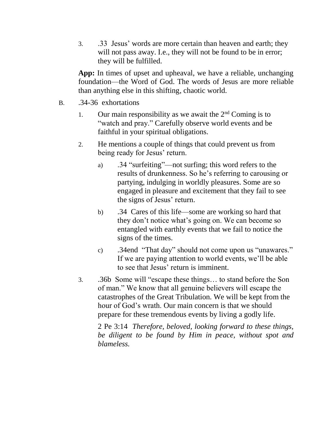3. .33 Jesus' words are more certain than heaven and earth; they will not pass away. I.e., they will not be found to be in error; they will be fulfilled.

**App:** In times of upset and upheaval, we have a reliable, unchanging foundation—the Word of God. The words of Jesus are more reliable than anything else in this shifting, chaotic world.

- B. .34-36 exhortations
	- 1. Our main responsibility as we await the  $2<sup>nd</sup>$  Coming is to "watch and pray." Carefully observe world events and be faithful in your spiritual obligations.
	- 2. He mentions a couple of things that could prevent us from being ready for Jesus' return.
		- a) .34 "surfeiting"—not surfing; this word refers to the results of drunkenness. So he's referring to carousing or partying, indulging in worldly pleasures. Some are so engaged in pleasure and excitement that they fail to see the signs of Jesus' return.
		- b) .34 Cares of this life—some are working so hard that they don't notice what's going on. We can become so entangled with earthly events that we fail to notice the signs of the times.
		- c) .34end "That day" should not come upon us "unawares." If we are paying attention to world events, we'll be able to see that Jesus' return is imminent.
	- 3. .36b Some will "escape these things… to stand before the Son of man." We know that all genuine believers will escape the catastrophes of the Great Tribulation. We will be kept from the hour of God's wrath. Our main concern is that we should prepare for these tremendous events by living a godly life.

2 Pe 3:14 *Therefore, beloved, looking forward to these things, be diligent to be found by Him in peace, without spot and blameless.*